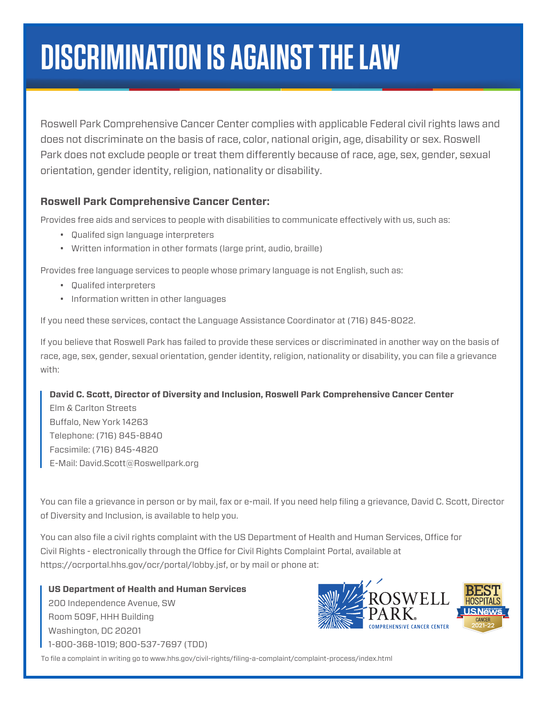# **DISCRIMINATION IS AGAINST THE LAW**

Roswell Park Comprehensive Cancer Center complies with applicable Federal civil rights laws and does not discriminate on the basis of race, color, national origin, age, disability or sex. Roswell Park does not exclude people or treat them differently because of race, age, sex, gender, sexual orientation, gender identity, religion, nationality or disability.

#### **Roswell Park Comprehensive Cancer Center:**

Provides free aids and services to people with disabilities to communicate effectively with us, such as:

- Qualifed sign language interpreters
- Written information in other formats (large print, audio, braille)

Provides free language services to people whose primary language is not English, such as:

- Qualifed interpreters
- Information written in other languages

If you need these services, contact the Language Assistance Coordinator at (716) 845-8022.

If you believe that Roswell Park has failed to provide these services or discriminated in another way on the basis of race, age, sex, gender, sexual orientation, gender identity, religion, nationality or disability, you can file a grievance with:

#### **David C. Scott, Director of Diversity and Inclusion, Roswell Park Comprehensive Cancer Center**

Elm & Carlton Streets Buffalo, New York 14263 Telephone: (716) 845-8840 Facsimile: (716) 845-4820 E-Mail: David.Scott@Roswellpark.org

You can file a grievance in person or by mail, fax or e-mail. If you need help filing a grievance, David C. Scott, Director of Diversity and Inclusion, is available to help you.

You can also file a civil rights complaint with the US Department of Health and Human Services, Office for Civil Rights - electronically through the Office for Civil Rights Complaint Portal, available at https://ocrportal.hhs.gov/ocr/portal/lobby.jsf, or by mail or phone at:

**US Department of Health and Human Services** 200 Independence Avenue, SW Room 509F, HHH Building Washington, DC 20201 1-800-368-1019; 800-537-7697 (TDD)



To file a complaint in writing go to www.hhs.gov/civil-rights/filing-a-complaint/complaint-process/index.html